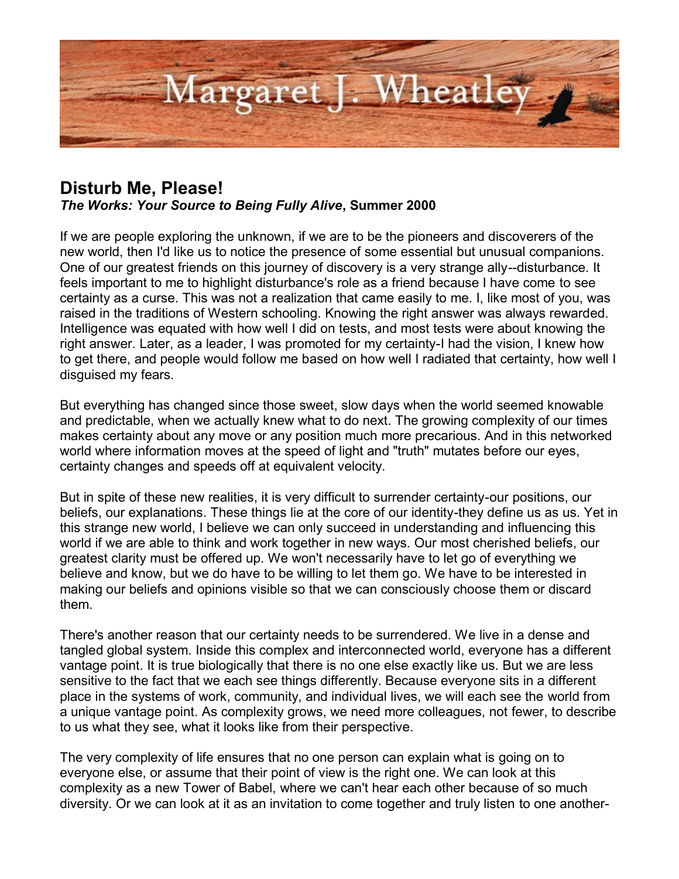

## **Disturb Me, Please!**

*The Works: Your Source to Being Fully Alive***, Summer 2000**

If we are people exploring the unknown, if we are to be the pioneers and discoverers of the new world, then I'd like us to notice the presence of some essential but unusual companions. One of our greatest friends on this journey of discovery is a very strange ally--disturbance. It feels important to me to highlight disturbance's role as a friend because I have come to see certainty as a curse. This was not a realization that came easily to me. I, like most of you, was raised in the traditions of Western schooling. Knowing the right answer was always rewarded. Intelligence was equated with how well I did on tests, and most tests were about knowing the right answer. Later, as a leader, I was promoted for my certainty-I had the vision, I knew how to get there, and people would follow me based on how well I radiated that certainty, how well I disguised my fears.

But everything has changed since those sweet, slow days when the world seemed knowable and predictable, when we actually knew what to do next. The growing complexity of our times makes certainty about any move or any position much more precarious. And in this networked world where information moves at the speed of light and "truth" mutates before our eyes, certainty changes and speeds off at equivalent velocity.

But in spite of these new realities, it is very difficult to surrender certainty-our positions, our beliefs, our explanations. These things lie at the core of our identity-they define us as us. Yet in this strange new world, I believe we can only succeed in understanding and influencing this world if we are able to think and work together in new ways. Our most cherished beliefs, our greatest clarity must be offered up. We won't necessarily have to let go of everything we believe and know, but we do have to be willing to let them go. We have to be interested in making our beliefs and opinions visible so that we can consciously choose them or discard them.

There's another reason that our certainty needs to be surrendered. We live in a dense and tangled global system. Inside this complex and interconnected world, everyone has a different vantage point. It is true biologically that there is no one else exactly like us. But we are less sensitive to the fact that we each see things differently. Because everyone sits in a different place in the systems of work, community, and individual lives, we will each see the world from a unique vantage point. As complexity grows, we need more colleagues, not fewer, to describe to us what they see, what it looks like from their perspective.

The very complexity of life ensures that no one person can explain what is going on to everyone else, or assume that their point of view is the right one. We can look at this complexity as a new Tower of Babel, where we can't hear each other because of so much diversity. Or we can look at it as an invitation to come together and truly listen to one another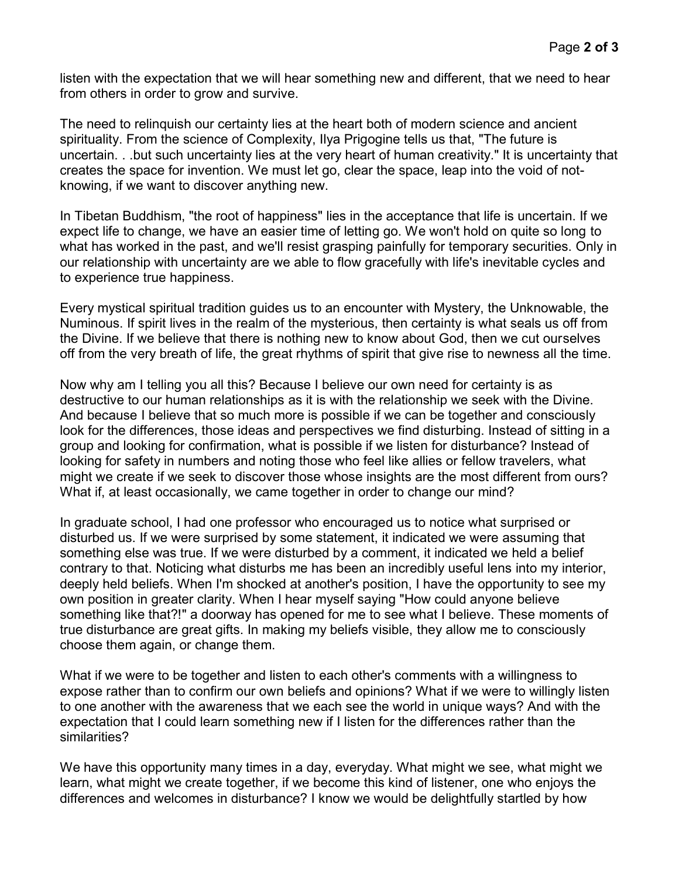listen with the expectation that we will hear something new and different, that we need to hear from others in order to grow and survive.

The need to relinquish our certainty lies at the heart both of modern science and ancient spirituality. From the science of Complexity, Ilya Prigogine tells us that, "The future is uncertain. . .but such uncertainty lies at the very heart of human creativity." It is uncertainty that creates the space for invention. We must let go, clear the space, leap into the void of notknowing, if we want to discover anything new.

In Tibetan Buddhism, "the root of happiness" lies in the acceptance that life is uncertain. If we expect life to change, we have an easier time of letting go. We won't hold on quite so long to what has worked in the past, and we'll resist grasping painfully for temporary securities. Only in our relationship with uncertainty are we able to flow gracefully with life's inevitable cycles and to experience true happiness.

Every mystical spiritual tradition guides us to an encounter with Mystery, the Unknowable, the Numinous. If spirit lives in the realm of the mysterious, then certainty is what seals us off from the Divine. If we believe that there is nothing new to know about God, then we cut ourselves off from the very breath of life, the great rhythms of spirit that give rise to newness all the time.

Now why am I telling you all this? Because I believe our own need for certainty is as destructive to our human relationships as it is with the relationship we seek with the Divine. And because I believe that so much more is possible if we can be together and consciously look for the differences, those ideas and perspectives we find disturbing. Instead of sitting in a group and looking for confirmation, what is possible if we listen for disturbance? Instead of looking for safety in numbers and noting those who feel like allies or fellow travelers, what might we create if we seek to discover those whose insights are the most different from ours? What if, at least occasionally, we came together in order to change our mind?

In graduate school, I had one professor who encouraged us to notice what surprised or disturbed us. If we were surprised by some statement, it indicated we were assuming that something else was true. If we were disturbed by a comment, it indicated we held a belief contrary to that. Noticing what disturbs me has been an incredibly useful lens into my interior, deeply held beliefs. When I'm shocked at another's position, I have the opportunity to see my own position in greater clarity. When I hear myself saying "How could anyone believe something like that?!" a doorway has opened for me to see what I believe. These moments of true disturbance are great gifts. In making my beliefs visible, they allow me to consciously choose them again, or change them.

What if we were to be together and listen to each other's comments with a willingness to expose rather than to confirm our own beliefs and opinions? What if we were to willingly listen to one another with the awareness that we each see the world in unique ways? And with the expectation that I could learn something new if I listen for the differences rather than the similarities?

We have this opportunity many times in a day, everyday. What might we see, what might we learn, what might we create together, if we become this kind of listener, one who enjoys the differences and welcomes in disturbance? I know we would be delightfully startled by how